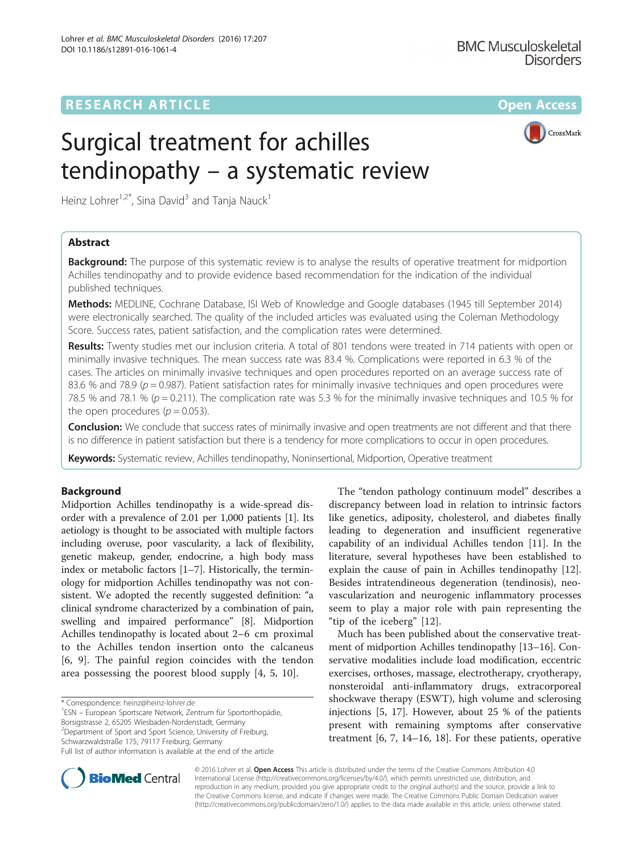# **RESEARCH ARTICLE External Structure Community Community Community Community Community Community Community Community**

CrossMark

# Surgical treatment for achilles tendinopathy – a systematic review

Heinz Lohrer<sup>1,2\*</sup>, Sina David<sup>3</sup> and Tanja Nauck<sup>1</sup>

# Abstract

**Background:** The purpose of this systematic review is to analyse the results of operative treatment for midportion Achilles tendinopathy and to provide evidence based recommendation for the indication of the individual published techniques.

Methods: MEDLINE, Cochrane Database, ISI Web of Knowledge and Google databases (1945 till September 2014) were electronically searched. The quality of the included articles was evaluated using the Coleman Methodology Score. Success rates, patient satisfaction, and the complication rates were determined.

Results: Twenty studies met our inclusion criteria. A total of 801 tendons were treated in 714 patients with open or minimally invasive techniques. The mean success rate was 83.4 %. Complications were reported in 6.3 % of the cases. The articles on minimally invasive techniques and open procedures reported on an average success rate of 83.6 % and 78.9 ( $p = 0.987$ ). Patient satisfaction rates for minimally invasive techniques and open procedures were 78.5 % and 78.1 % ( $p = 0.211$ ). The complication rate was 5.3 % for the minimally invasive techniques and 10.5 % for the open procedures ( $p = 0.053$ ).

**Conclusion:** We conclude that success rates of minimally invasive and open treatments are not different and that there is no difference in patient satisfaction but there is a tendency for more complications to occur in open procedures.

Keywords: Systematic review, Achilles tendinopathy, Noninsertional, Midportion, Operative treatment

# Background

Midportion Achilles tendinopathy is a wide-spread disorder with a prevalence of 2.01 per 1,000 patients [\[1\]](#page-8-0). Its aetiology is thought to be associated with multiple factors including overuse, poor vascularity, a lack of flexibility, genetic makeup, gender, endocrine, a high body mass index or metabolic factors [\[1](#page-8-0)–[7\]](#page-8-0). Historically, the terminology for midportion Achilles tendinopathy was not consistent. We adopted the recently suggested definition: "a clinical syndrome characterized by a combination of pain, swelling and impaired performance" [[8](#page-8-0)]. Midportion Achilles tendinopathy is located about 2–6 cm proximal to the Achilles tendon insertion onto the calcaneus [[6, 9](#page-8-0)]. The painful region coincides with the tendon area possessing the poorest blood supply [[4, 5](#page-8-0), [10](#page-8-0)].

ESN – European Sportscare Network, Zentrum für Sportorthopädie,

Borsigstrasse 2, 65205 Wiesbaden-Nordenstadt, Germany <sup>2</sup>Department of Sport and Sport Science, University of Freiburg,

Schwarzwaldstraße 175, 79117 Freiburg, Germany

The "tendon pathology continuum model" describes a discrepancy between load in relation to intrinsic factors like genetics, adiposity, cholesterol, and diabetes finally leading to degeneration and insufficient regenerative capability of an individual Achilles tendon [[11\]](#page-8-0). In the literature, several hypotheses have been established to explain the cause of pain in Achilles tendinopathy [\[12](#page-8-0)]. Besides intratendineous degeneration (tendinosis), neovascularization and neurogenic inflammatory processes seem to play a major role with pain representing the "tip of the iceberg" [\[12](#page-8-0)].

Much has been published about the conservative treatment of midportion Achilles tendinopathy [\[13](#page-8-0)–[16\]](#page-8-0). Conservative modalities include load modification, eccentric exercises, orthoses, massage, electrotherapy, cryotherapy, nonsteroidal anti-inflammatory drugs, extracorporeal shockwave therapy (ESWT), high volume and sclerosing injections [\[5](#page-8-0), [17\]](#page-8-0). However, about 25 % of the patients present with remaining symptoms after conservative treatment [\[6](#page-8-0), [7, 14](#page-8-0)–[16, 18\]](#page-8-0). For these patients, operative



© 2016 Lohrer et al. Open Access This article is distributed under the terms of the Creative Commons Attribution 4.0 International License [\(http://creativecommons.org/licenses/by/4.0/](http://creativecommons.org/licenses/by/4.0/)), which permits unrestricted use, distribution, and reproduction in any medium, provided you give appropriate credit to the original author(s) and the source, provide a link to the Creative Commons license, and indicate if changes were made. The Creative Commons Public Domain Dedication waiver [\(http://creativecommons.org/publicdomain/zero/1.0/](http://creativecommons.org/publicdomain/zero/1.0/)) applies to the data made available in this article, unless otherwise stated.

<sup>\*</sup> Correspondence: [heinz@heinz-lohrer.de](mailto:heinz@heinz-lohrer.de) <sup>1</sup>

Full list of author information is available at the end of the article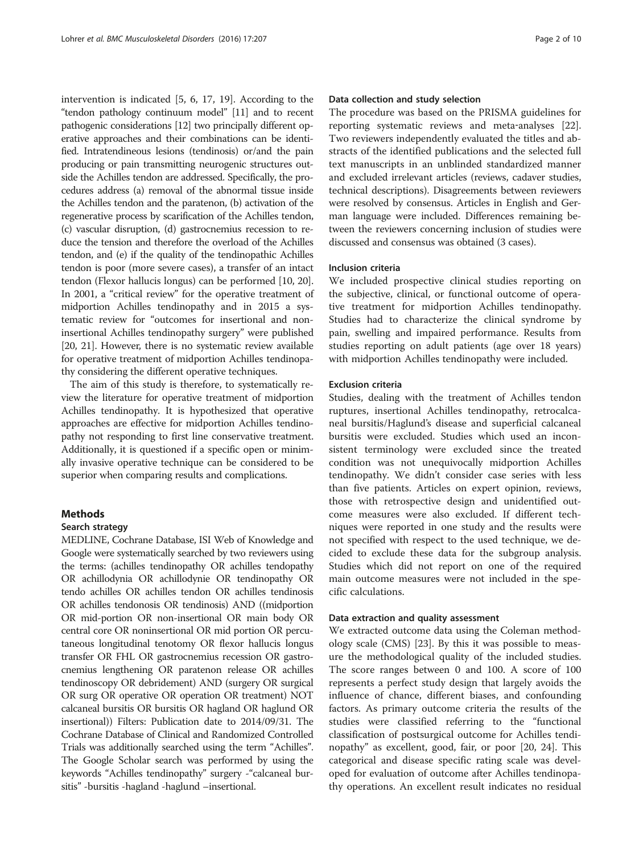intervention is indicated [\[5](#page-8-0), [6](#page-8-0), [17](#page-8-0), [19\]](#page-8-0). According to the "tendon pathology continuum model" [\[11](#page-8-0)] and to recent pathogenic considerations [[12](#page-8-0)] two principally different operative approaches and their combinations can be identified. Intratendineous lesions (tendinosis) or/and the pain producing or pain transmitting neurogenic structures outside the Achilles tendon are addressed. Specifically, the procedures address (a) removal of the abnormal tissue inside the Achilles tendon and the paratenon, (b) activation of the regenerative process by scarification of the Achilles tendon, (c) vascular disruption, (d) gastrocnemius recession to reduce the tension and therefore the overload of the Achilles tendon, and (e) if the quality of the tendinopathic Achilles tendon is poor (more severe cases), a transfer of an intact tendon (Flexor hallucis longus) can be performed [\[10, 20](#page-8-0)]. In 2001, a "critical review" for the operative treatment of midportion Achilles tendinopathy and in 2015 a systematic review for "outcomes for insertional and noninsertional Achilles tendinopathy surgery" were published [[20](#page-8-0), [21\]](#page-8-0). However, there is no systematic review available for operative treatment of midportion Achilles tendinopathy considering the different operative techniques.

The aim of this study is therefore, to systematically review the literature for operative treatment of midportion Achilles tendinopathy. It is hypothesized that operative approaches are effective for midportion Achilles tendinopathy not responding to first line conservative treatment. Additionally, it is questioned if a specific open or minimally invasive operative technique can be considered to be superior when comparing results and complications.

# Methods

#### Search strategy

MEDLINE, Cochrane Database, ISI Web of Knowledge and Google were systematically searched by two reviewers using the terms: (achilles tendinopathy OR achilles tendopathy OR achillodynia OR achillodynie OR tendinopathy OR tendo achilles OR achilles tendon OR achilles tendinosis OR achilles tendonosis OR tendinosis) AND ((midportion OR mid-portion OR non-insertional OR main body OR central core OR noninsertional OR mid portion OR percutaneous longitudinal tenotomy OR flexor hallucis longus transfer OR FHL OR gastrocnemius recession OR gastrocnemius lengthening OR paratenon release OR achilles tendinoscopy OR debridement) AND (surgery OR surgical OR surg OR operative OR operation OR treatment) NOT calcaneal bursitis OR bursitis OR hagland OR haglund OR insertional)) Filters: Publication date to 2014/09/31. The Cochrane Database of Clinical and Randomized Controlled Trials was additionally searched using the term "Achilles". The Google Scholar search was performed by using the keywords "Achilles tendinopathy" surgery -"calcaneal bursitis" -bursitis -hagland -haglund –insertional.

# Data collection and study selection

The procedure was based on the PRISMA guidelines for reporting systematic reviews and meta-analyses [\[22](#page-8-0)]. Two reviewers independently evaluated the titles and abstracts of the identified publications and the selected full text manuscripts in an unblinded standardized manner and excluded irrelevant articles (reviews, cadaver studies, technical descriptions). Disagreements between reviewers were resolved by consensus. Articles in English and German language were included. Differences remaining between the reviewers concerning inclusion of studies were discussed and consensus was obtained (3 cases).

# Inclusion criteria

We included prospective clinical studies reporting on the subjective, clinical, or functional outcome of operative treatment for midportion Achilles tendinopathy. Studies had to characterize the clinical syndrome by pain, swelling and impaired performance. Results from studies reporting on adult patients (age over 18 years) with midportion Achilles tendinopathy were included.

## Exclusion criteria

Studies, dealing with the treatment of Achilles tendon ruptures, insertional Achilles tendinopathy, retrocalcaneal bursitis/Haglund's disease and superficial calcaneal bursitis were excluded. Studies which used an inconsistent terminology were excluded since the treated condition was not unequivocally midportion Achilles tendinopathy. We didn't consider case series with less than five patients. Articles on expert opinion, reviews, those with retrospective design and unidentified outcome measures were also excluded. If different techniques were reported in one study and the results were not specified with respect to the used technique, we decided to exclude these data for the subgroup analysis. Studies which did not report on one of the required main outcome measures were not included in the specific calculations.

# Data extraction and quality assessment

We extracted outcome data using the Coleman methodology scale (CMS) [\[23\]](#page-8-0). By this it was possible to measure the methodological quality of the included studies. The score ranges between 0 and 100. A score of 100 represents a perfect study design that largely avoids the influence of chance, different biases, and confounding factors. As primary outcome criteria the results of the studies were classified referring to the "functional classification of postsurgical outcome for Achilles tendinopathy" as excellent, good, fair, or poor [\[20, 24](#page-8-0)]. This categorical and disease specific rating scale was developed for evaluation of outcome after Achilles tendinopathy operations. An excellent result indicates no residual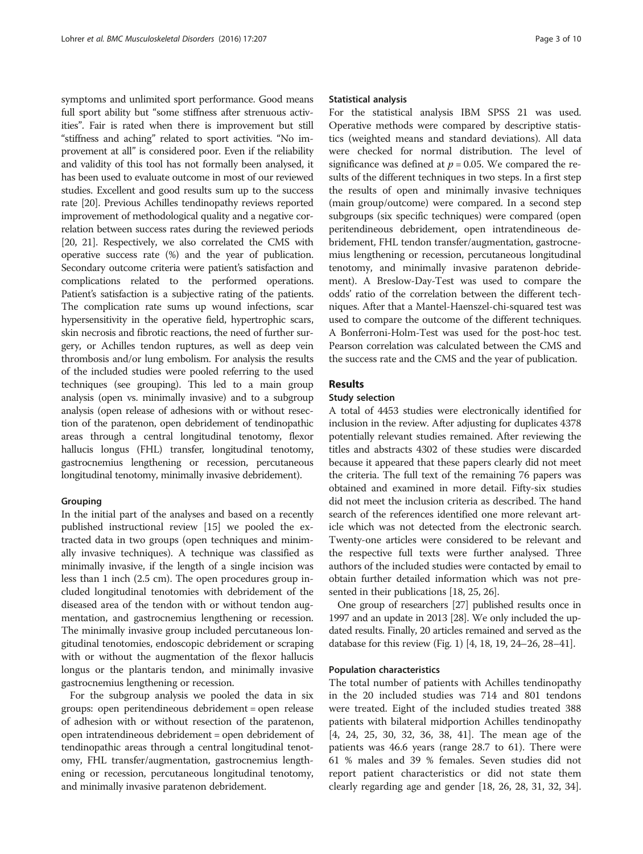symptoms and unlimited sport performance. Good means full sport ability but "some stiffness after strenuous activities". Fair is rated when there is improvement but still "stiffness and aching" related to sport activities. "No improvement at all" is considered poor. Even if the reliability and validity of this tool has not formally been analysed, it has been used to evaluate outcome in most of our reviewed studies. Excellent and good results sum up to the success rate [\[20\]](#page-8-0). Previous Achilles tendinopathy reviews reported improvement of methodological quality and a negative correlation between success rates during the reviewed periods [[20](#page-8-0), [21\]](#page-8-0). Respectively, we also correlated the CMS with operative success rate (%) and the year of publication. Secondary outcome criteria were patient's satisfaction and complications related to the performed operations. Patient's satisfaction is a subjective rating of the patients. The complication rate sums up wound infections, scar hypersensitivity in the operative field, hypertrophic scars, skin necrosis and fibrotic reactions, the need of further surgery, or Achilles tendon ruptures, as well as deep vein thrombosis and/or lung embolism. For analysis the results of the included studies were pooled referring to the used techniques (see grouping). This led to a main group analysis (open vs. minimally invasive) and to a subgroup analysis (open release of adhesions with or without resection of the paratenon, open debridement of tendinopathic areas through a central longitudinal tenotomy, flexor hallucis longus (FHL) transfer, longitudinal tenotomy, gastrocnemius lengthening or recession, percutaneous longitudinal tenotomy, minimally invasive debridement).

# Grouping

In the initial part of the analyses and based on a recently published instructional review [[15](#page-8-0)] we pooled the extracted data in two groups (open techniques and minimally invasive techniques). A technique was classified as minimally invasive, if the length of a single incision was less than 1 inch (2.5 cm). The open procedures group included longitudinal tenotomies with debridement of the diseased area of the tendon with or without tendon augmentation, and gastrocnemius lengthening or recession. The minimally invasive group included percutaneous longitudinal tenotomies, endoscopic debridement or scraping with or without the augmentation of the flexor hallucis longus or the plantaris tendon, and minimally invasive gastrocnemius lengthening or recession.

For the subgroup analysis we pooled the data in six groups: open peritendineous debridement = open release of adhesion with or without resection of the paratenon, open intratendineous debridement = open debridement of tendinopathic areas through a central longitudinal tenotomy, FHL transfer/augmentation, gastrocnemius lengthening or recession, percutaneous longitudinal tenotomy, and minimally invasive paratenon debridement.

## Statistical analysis

For the statistical analysis IBM SPSS 21 was used. Operative methods were compared by descriptive statistics (weighted means and standard deviations). All data were checked for normal distribution. The level of significance was defined at  $p = 0.05$ . We compared the results of the different techniques in two steps. In a first step the results of open and minimally invasive techniques (main group/outcome) were compared. In a second step subgroups (six specific techniques) were compared (open peritendineous debridement, open intratendineous debridement, FHL tendon transfer/augmentation, gastrocnemius lengthening or recession, percutaneous longitudinal tenotomy, and minimally invasive paratenon debridement). A Breslow-Day-Test was used to compare the odds' ratio of the correlation between the different techniques. After that a Mantel-Haenszel-chi-squared test was used to compare the outcome of the different techniques. A Bonferroni-Holm-Test was used for the post-hoc test. Pearson correlation was calculated between the CMS and the success rate and the CMS and the year of publication.

# Results

# Study selection

A total of 4453 studies were electronically identified for inclusion in the review. After adjusting for duplicates 4378 potentially relevant studies remained. After reviewing the titles and abstracts 4302 of these studies were discarded because it appeared that these papers clearly did not meet the criteria. The full text of the remaining 76 papers was obtained and examined in more detail. Fifty-six studies did not meet the inclusion criteria as described. The hand search of the references identified one more relevant article which was not detected from the electronic search. Twenty-one articles were considered to be relevant and the respective full texts were further analysed. Three authors of the included studies were contacted by email to obtain further detailed information which was not presented in their publications [\[18, 25](#page-8-0), [26\]](#page-8-0).

One group of researchers [\[27](#page-8-0)] published results once in 1997 and an update in 2013 [\[28\]](#page-8-0). We only included the updated results. Finally, 20 articles remained and served as the database for this review (Fig. [1](#page-3-0)) [[4, 18](#page-8-0), [19](#page-8-0), [24](#page-8-0)–[26](#page-8-0), [28](#page-8-0)–[41\]](#page-9-0).

# Population characteristics

The total number of patients with Achilles tendinopathy in the 20 included studies was 714 and 801 tendons were treated. Eight of the included studies treated 388 patients with bilateral midportion Achilles tendinopathy [[4, 24](#page-8-0), [25](#page-8-0), [30, 32, 36](#page-8-0), [38](#page-9-0), [41\]](#page-9-0). The mean age of the patients was 46.6 years (range 28.7 to 61). There were 61 % males and 39 % females. Seven studies did not report patient characteristics or did not state them clearly regarding age and gender [[18](#page-8-0), [26, 28](#page-8-0), [31](#page-8-0), [32, 34](#page-8-0)].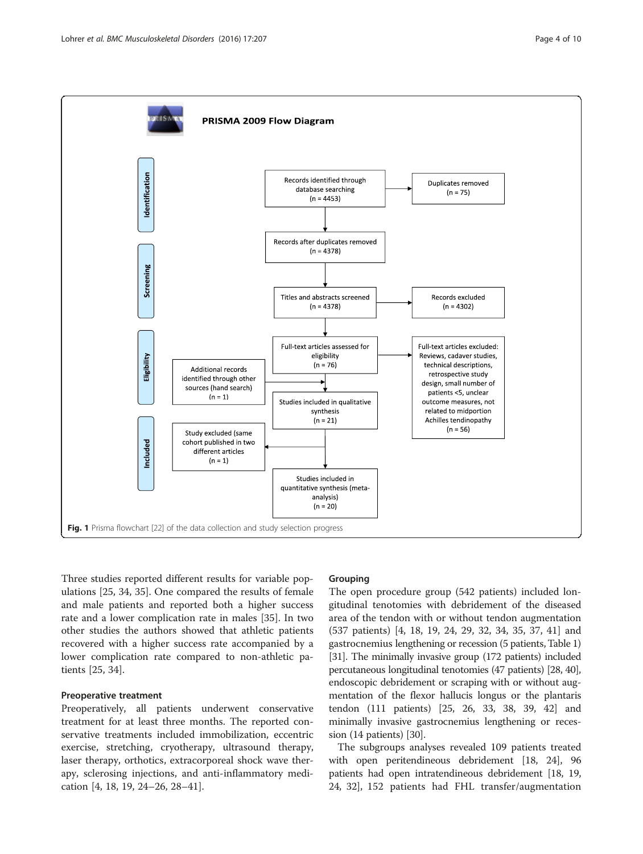<span id="page-3-0"></span>

Three studies reported different results for variable populations [\[25, 34, 35\]](#page-8-0). One compared the results of female and male patients and reported both a higher success rate and a lower complication rate in males [[35\]](#page-8-0). In two other studies the authors showed that athletic patients recovered with a higher success rate accompanied by a lower complication rate compared to non-athletic patients [\[25](#page-8-0), [34](#page-8-0)].

# Preoperative treatment

Preoperatively, all patients underwent conservative treatment for at least three months. The reported conservative treatments included immobilization, eccentric exercise, stretching, cryotherapy, ultrasound therapy, laser therapy, orthotics, extracorporeal shock wave therapy, sclerosing injections, and anti-inflammatory medication [[4, 18, 19, 24](#page-8-0)–[26](#page-8-0), [28](#page-8-0)–[41\]](#page-9-0).

## Grouping

The open procedure group (542 patients) included longitudinal tenotomies with debridement of the diseased area of the tendon with or without tendon augmentation (537 patients) [[4, 18, 19, 24](#page-8-0), [29](#page-8-0), [32](#page-8-0), [34, 35, 37,](#page-8-0) [41](#page-9-0)] and gastrocnemius lengthening or recession (5 patients, Table [1](#page-4-0)) [[31](#page-8-0)]. The minimally invasive group (172 patients) included percutaneous longitudinal tenotomies (47 patients) [\[28](#page-8-0), [40](#page-9-0)], endoscopic debridement or scraping with or without augmentation of the flexor hallucis longus or the plantaris tendon (111 patients) [[25](#page-8-0), [26](#page-8-0), [33,](#page-8-0) [38, 39, 42](#page-9-0)] and minimally invasive gastrocnemius lengthening or recession (14 patients) [[30](#page-8-0)].

The subgroups analyses revealed 109 patients treated with open peritendineous debridement [[18](#page-8-0), [24\]](#page-8-0), 96 patients had open intratendineous debridement [\[18](#page-8-0), [19](#page-8-0), [24](#page-8-0), [32\]](#page-8-0), 152 patients had FHL transfer/augmentation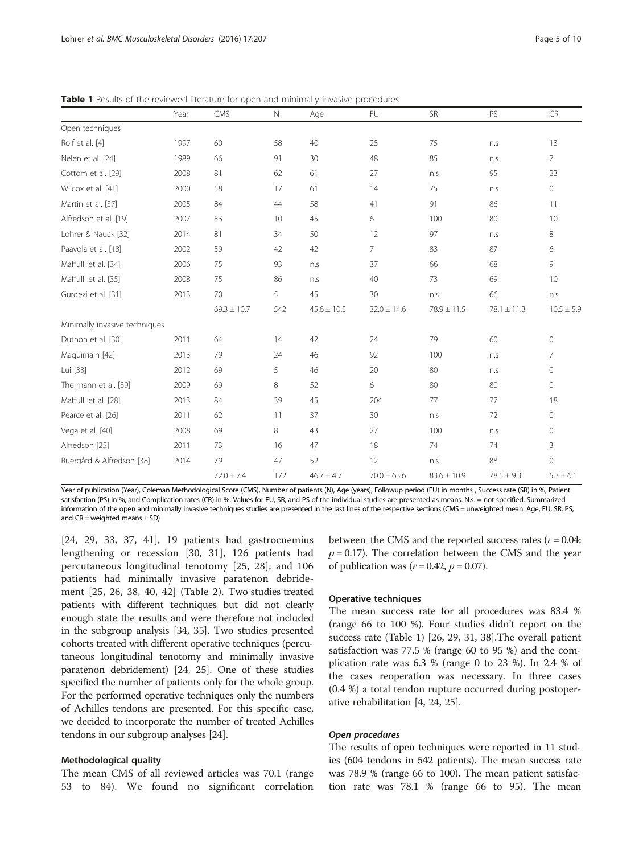|                               | Year | CMS             | $\mathbb N$ | Age             | <b>FU</b>       | SR              | PS              | <b>CR</b>           |
|-------------------------------|------|-----------------|-------------|-----------------|-----------------|-----------------|-----------------|---------------------|
| Open techniques               |      |                 |             |                 |                 |                 |                 |                     |
| Rolf et al. [4]               | 1997 | 60              | 58          | 40              | 25              | 75              | n.s             | 13                  |
| Nelen et al. [24]             | 1989 | 66              | 91          | 30              | 48              | 85              | n.s             | $\overline{7}$      |
| Cottom et al. [29]            | 2008 | 81              | 62          | 61              | 27              | n.s             | 95              | 23                  |
| Wilcox et al. [41]            | 2000 | 58              | 17          | 61              | 14              | 75              | n.s             | $\circ$             |
| Martin et al. [37]            | 2005 | 84              | 44          | 58              | 41              | 91              | 86              | 11                  |
| Alfredson et al. [19]         | 2007 | 53              | 10          | 45              | 6               | 100             | 80              | 10                  |
| Lohrer & Nauck [32]           | 2014 | 81              | 34          | 50              | 12              | 97              | n.s             | 8                   |
| Paavola et al. [18]           | 2002 | 59              | 42          | 42              | 7               | 83              | 87              | 6                   |
| Maffulli et al. [34]          | 2006 | 75              | 93          | n.s             | 37              | 66              | 68              | 9                   |
| Maffulli et al. [35]          | 2008 | 75              | 86          | n.s             | 40              | 73              | 69              | 10                  |
| Gurdezi et al. [31]           | 2013 | 70              | 5           | 45              | 30              | n.s             | 66              | n.s                 |
|                               |      | $69.3 \pm 10.7$ | 542         | $45.6 \pm 10.5$ | $32.0 \pm 14.6$ | $78.9 \pm 11.5$ | $78.1 \pm 11.3$ | $10.5 \pm 5.9$      |
| Minimally invasive techniques |      |                 |             |                 |                 |                 |                 |                     |
| Duthon et al. [30]            | 2011 | 64              | 14          | 42              | 24              | 79              | 60              | $\circ$             |
| Maquirriain [42]              | 2013 | 79              | 24          | 46              | 92              | 100             | n.s             | $\overline{7}$      |
| Lui [33]                      | 2012 | 69              | 5           | 46              | 20              | 80              | n.s             | $\circ$             |
| Thermann et al. [39]          | 2009 | 69              | 8           | 52              | 6               | 80              | 80              | $\mathsf{O}\xspace$ |
| Maffulli et al. [28]          | 2013 | 84              | 39          | 45              | 204             | 77              | 77              | 18                  |
| Pearce et al. [26]            | 2011 | 62              | 11          | 37              | 30              | n.s             | 72              | 0                   |
| Vega et al. [40]              | 2008 | 69              | 8           | 43              | 27              | 100             | n.s             | $\mathsf{O}\xspace$ |
| Alfredson [25]                | 2011 | 73              | 16          | 47              | 18              | 74              | 74              | 3                   |
| Ruergård & Alfredson [38]     | 2014 | 79              | 47          | 52              | 12              | n.s             | 88              | $\mathsf{O}\xspace$ |
|                               |      | $72.0 \pm 7.4$  | 172         | $46.7 \pm 4.7$  | $70.0 \pm 63.6$ | $83.6 \pm 10.9$ | $78.5 \pm 9.3$  | $5.3 \pm 6.1$       |

<span id="page-4-0"></span>Table 1 Results of the reviewed literature for open and minimally invasive procedures

Year of publication (Year), Coleman Methodological Score (CMS), Number of patients (N), Age (years), Followup period (FU) in months , Success rate (SR) in %, Patient satisfaction (PS) in %, and Complication rates (CR) in %. Values for FU, SR, and PS of the individual studies are presented as means. N.s. = not specified. Summarized information of the open and minimally invasive techniques studies are presented in the last lines of the respective sections (CMS = unweighted mean. Age, FU, SR, PS, and  $CR = weighted$  means  $\pm$  SD)

[[24, 29](#page-8-0), [33](#page-8-0), [37,](#page-8-0) [41\]](#page-9-0), 19 patients had gastrocnemius lengthening or recession [[30](#page-8-0), [31](#page-8-0)], 126 patients had percutaneous longitudinal tenotomy [[25, 28\]](#page-8-0), and 106 patients had minimally invasive paratenon debridement [\[25](#page-8-0), [26,](#page-8-0) [38, 40, 42](#page-9-0)] (Table [2](#page-5-0)). Two studies treated patients with different techniques but did not clearly enough state the results and were therefore not included in the subgroup analysis [[34](#page-8-0), [35](#page-8-0)]. Two studies presented cohorts treated with different operative techniques (percutaneous longitudinal tenotomy and minimally invasive paratenon debridement) [[24](#page-8-0), [25](#page-8-0)]. One of these studies specified the number of patients only for the whole group. For the performed operative techniques only the numbers of Achilles tendons are presented. For this specific case, we decided to incorporate the number of treated Achilles tendons in our subgroup analyses [\[24](#page-8-0)].

#### Methodological quality

The mean CMS of all reviewed articles was 70.1 (range 53 to 84). We found no significant correlation

between the CMS and the reported success rates  $(r = 0.04;$  $p = 0.17$ ). The correlation between the CMS and the year of publication was  $(r = 0.42, p = 0.07)$ .

# Operative techniques

The mean success rate for all procedures was 83.4 % (range 66 to 100 %). Four studies didn't report on the success rate (Table 1) [[26, 29, 31,](#page-8-0) [38](#page-9-0)].The overall patient satisfaction was 77.5 % (range 60 to 95 %) and the complication rate was 6.3 % (range 0 to 23 %). In 2.4 % of the cases reoperation was necessary. In three cases (0.4 %) a total tendon rupture occurred during postoperative rehabilitation [\[4](#page-8-0), [24, 25\]](#page-8-0).

# Open procedures

The results of open techniques were reported in 11 studies (604 tendons in 542 patients). The mean success rate was 78.9 % (range 66 to 100). The mean patient satisfaction rate was 78.1 % (range 66 to 95). The mean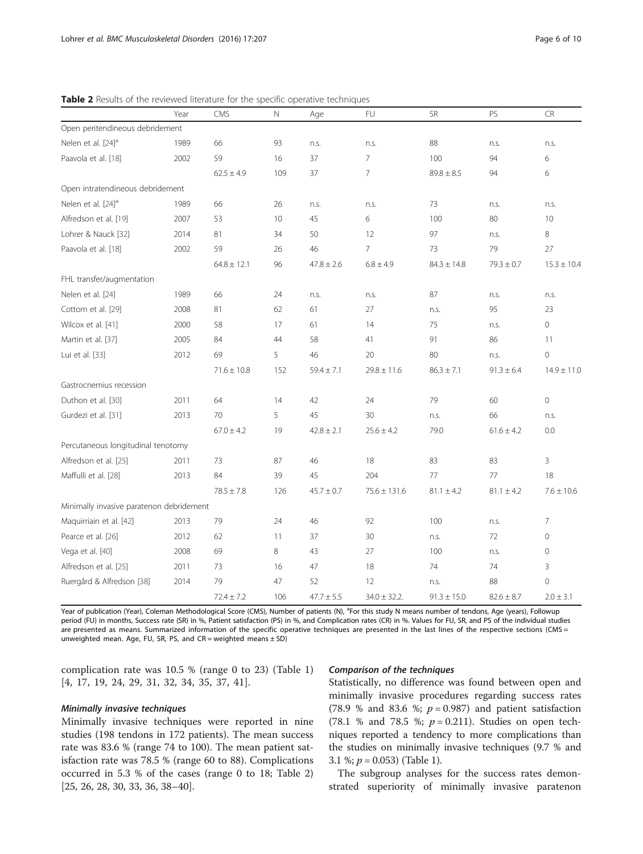|                                          | Year | <b>CMS</b>      | $\mathbb N$ | Age            | <b>FU</b>         | <b>SR</b>       | PS             | <b>CR</b>       |
|------------------------------------------|------|-----------------|-------------|----------------|-------------------|-----------------|----------------|-----------------|
| Open peritendineous debridement          |      |                 |             |                |                   |                 |                |                 |
| Nelen et al. [24] <sup>a</sup>           | 1989 | 66              | 93          | n.s.           | n.s.              | 88              | n.s.           | n.s.            |
| Paavola et al. [18]                      | 2002 | 59              | 16          | 37             | $\overline{7}$    | 100             | 94             | 6               |
|                                          |      | $62.5 \pm 4.9$  | 109         | 37             | 7                 | $89.8 \pm 8.5$  | 94             | 6               |
| Open intratendineous debridement         |      |                 |             |                |                   |                 |                |                 |
| Nelen et al. [24] <sup>a</sup>           | 1989 | 66              | 26          | n.s.           | n.s.              | 73              | n.s.           | n.s.            |
| Alfredson et al. [19]                    | 2007 | 53              | 10          | 45             | 6                 | 100             | 80             | 10              |
| Lohrer & Nauck [32]                      | 2014 | 81              | 34          | 50             | 12                | 97              | n.s.           | 8               |
| Paavola et al. [18]                      | 2002 | 59              | 26          | 46             | $\overline{7}$    | 73              | 79             | 27              |
|                                          |      | $64.8 \pm 12.1$ | 96          | $47.8 \pm 2.6$ | $6.8 \pm 4.9$     | $84.3 \pm 14.8$ | $79.3 \pm 0.7$ | $15.3 \pm 10.4$ |
| FHL transfer/augmentation                |      |                 |             |                |                   |                 |                |                 |
| Nelen et al. [24]                        | 1989 | 66              | 24          | n.s.           | n.s.              | 87              | n.s.           | n.s.            |
| Cottom et al. [29]                       | 2008 | 81              | 62          | 61             | 27                | n.s.            | 95             | 23              |
| Wilcox et al. [41]                       | 2000 | 58              | 17          | 61             | 14                | 75              | n.s.           | $\overline{0}$  |
| Martin et al. [37]                       | 2005 | 84              | 44          | 58             | 41                | 91              | 86             | 11              |
| Lui et al. [33]                          | 2012 | 69              | 5           | 46             | 20                | 80              | n.s.           | $\mathbf 0$     |
|                                          |      | $71.6 \pm 10.8$ | 152         | $59.4 \pm 7.1$ | $29.8 \pm 11.6$   | $86.3 \pm 7.1$  | $91.3 \pm 6.4$ | $14.9 \pm 11.0$ |
| Gastrocnemius recession                  |      |                 |             |                |                   |                 |                |                 |
| Duthon et al. [30]                       | 2011 | 64              | 14          | 42             | 24                | 79              | 60             | $\mathbf 0$     |
| Gurdezi et al. [31]                      | 2013 | 70              | 5           | 45             | 30                | n.s.            | 66             | n.s.            |
|                                          |      | $67.0 \pm 4.2$  | 19          | $42.8 \pm 2.1$ | $25.6 \pm 4.2$    | 79.0            | $61.6 \pm 4.2$ | 0.0             |
| Percutaneous longitudinal tenotomy       |      |                 |             |                |                   |                 |                |                 |
| Alfredson et al. [25]                    | 2011 | 73              | 87          | 46             | 18                | 83              | 83             | 3               |
| Maffulli et al. [28]                     | 2013 | 84              | 39          | 45             | 204               | 77              | 77             | 18              |
|                                          |      | $78.5 \pm 7.8$  | 126         | $45.7 \pm 0.7$ | $75.6 \pm 131.6$  | $81.1 \pm 4.2$  | $81.1 \pm 4.2$ | $7.6 \pm 10.6$  |
| Minimally invasive paratenon debridement |      |                 |             |                |                   |                 |                |                 |
| Maquirriain et al. [42]                  | 2013 | 79              | 24          | 46             | 92                | 100             | n.s.           | 7               |
| Pearce et al. [26]                       | 2012 | 62              | 11          | 37             | 30                | n.s.            | 72             | $\mathbf{0}$    |
| Vega et al. [40]                         | 2008 | 69              | 8           | 43             | 27                | 100             | n.s.           | $\mathbf{0}$    |
| Alfredson et al. [25]                    | 2011 | 73              | 16          | 47             | 18                | 74              | 74             | 3               |
| Ruergård & Alfredson [38]                | 2014 | 79              | 47          | 52             | 12                | n.S.            | 88             | $\overline{0}$  |
|                                          |      | $72.4 \pm 7.2$  | 106         | $47.7 \pm 5.5$ | $34.0 \pm 32.2$ . | $91.3 \pm 15.0$ | $82.6 \pm 8.7$ | $2.0 \pm 3.1$   |

<span id="page-5-0"></span>Table 2 Results of the reviewed literature for the specific operative techniques

Year of publication (Year), Coleman Methodological Score (CMS), Number of patients (N), <sup>a</sup>For this study N means number of tendons, Age (years), Followup period (FU) in months, Success rate (SR) in %, Patient satisfaction (PS) in %, and Complication rates (CR) in %. Values for FU, SR, and PS of the individual studies are presented as means. Summarized information of the specific operative techniques are presented in the last lines of the respective sections (CMS = unweighted mean. Age, FU, SR, PS, and  $CR$  = weighted means  $\pm$  SD)

complication rate was 10.5 % (range 0 to 23) (Table [1](#page-4-0)) [[4, 17](#page-8-0), [19](#page-8-0), [24](#page-8-0), [29, 31, 32, 34](#page-8-0), [35](#page-8-0), [37](#page-8-0), [41](#page-9-0)].

#### Minimally invasive techniques

Minimally invasive techniques were reported in nine studies (198 tendons in 172 patients). The mean success rate was 83.6 % (range 74 to 100). The mean patient satisfaction rate was 78.5 % (range 60 to 88). Complications occurred in 5.3 % of the cases (range 0 to 18; Table 2) [[25, 26, 28](#page-8-0), [30](#page-8-0), [33](#page-8-0), [36](#page-8-0), [38](#page-9-0)–[40\]](#page-9-0).

# Comparison of the techniques

Statistically, no difference was found between open and minimally invasive procedures regarding success rates (78.9 % and 83.6 %;  $p = 0.987$ ) and patient satisfaction (78.1 % and 78.5 %;  $p = 0.211$ ). Studies on open techniques reported a tendency to more complications than the studies on minimally invasive techniques (9.7 % and 3.1 %;  $p = 0.053$ ) (Table [1](#page-4-0)).

The subgroup analyses for the success rates demonstrated superiority of minimally invasive paratenon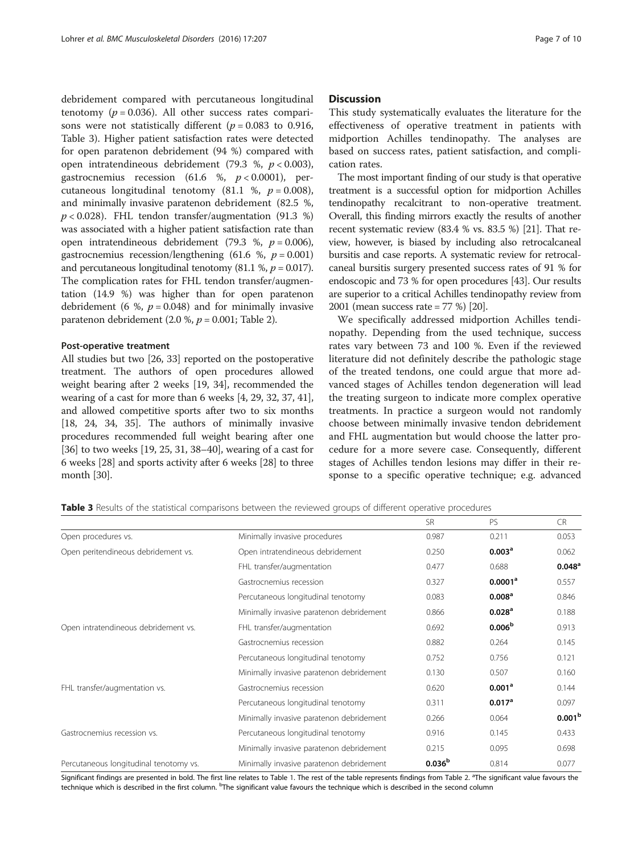<span id="page-6-0"></span>debridement compared with percutaneous longitudinal tenotomy ( $p = 0.036$ ). All other success rates comparisons were not statistically different ( $p = 0.083$  to 0.916, Table 3). Higher patient satisfaction rates were detected for open paratenon debridement (94 %) compared with open intratendineous debridement (79.3 %,  $p < 0.003$ ), gastrocnemius recession (61.6 %,  $p < 0.0001$ ), percutaneous longitudinal tenotomy (81.1 %,  $p = 0.008$ ), and minimally invasive paratenon debridement (82.5 %,  $p < 0.028$ ). FHL tendon transfer/augmentation (91.3 %) was associated with a higher patient satisfaction rate than open intratendineous debridement (79.3 %,  $p = 0.006$ ), gastrocnemius recession/lengthening (61.6 %,  $p = 0.001$ ) and percutaneous longitudinal tenotomy (81.1 %,  $p = 0.017$ ). The complication rates for FHL tendon transfer/augmentation (14.9 %) was higher than for open paratenon debridement (6 %,  $p = 0.048$ ) and for minimally invasive paratenon debridement (2.0 %,  $p = 0.001$ ; Table [2\)](#page-5-0).

#### Post-operative treatment

All studies but two [[26](#page-8-0), [33](#page-8-0)] reported on the postoperative treatment. The authors of open procedures allowed weight bearing after 2 weeks [\[19, 34](#page-8-0)], recommended the wearing of a cast for more than 6 weeks [[4, 29, 32](#page-8-0), [37,](#page-8-0) [41](#page-9-0)], and allowed competitive sports after two to six months [[18](#page-8-0), [24](#page-8-0), [34, 35](#page-8-0)]. The authors of minimally invasive procedures recommended full weight bearing after one [[36](#page-8-0)] to two weeks [\[19, 25](#page-8-0), [31,](#page-8-0) [38](#page-9-0)–[40\]](#page-9-0), wearing of a cast for 6 weeks [\[28\]](#page-8-0) and sports activity after 6 weeks [[28](#page-8-0)] to three month [\[30\]](#page-8-0).

## **Discussion**

This study systematically evaluates the literature for the effectiveness of operative treatment in patients with midportion Achilles tendinopathy. The analyses are based on success rates, patient satisfaction, and complication rates.

The most important finding of our study is that operative treatment is a successful option for midportion Achilles tendinopathy recalcitrant to non-operative treatment. Overall, this finding mirrors exactly the results of another recent systematic review (83.4 % vs. 83.5 %) [\[21\]](#page-8-0). That review, however, is biased by including also retrocalcaneal bursitis and case reports. A systematic review for retrocalcaneal bursitis surgery presented success rates of 91 % for endoscopic and 73 % for open procedures [\[43\]](#page-9-0). Our results are superior to a critical Achilles tendinopathy review from 2001 (mean success rate = 77 %) [\[20\]](#page-8-0).

We specifically addressed midportion Achilles tendinopathy. Depending from the used technique, success rates vary between 73 and 100 %. Even if the reviewed literature did not definitely describe the pathologic stage of the treated tendons, one could argue that more advanced stages of Achilles tendon degeneration will lead the treating surgeon to indicate more complex operative treatments. In practice a surgeon would not randomly choose between minimally invasive tendon debridement and FHL augmentation but would choose the latter procedure for a more severe case. Consequently, different stages of Achilles tendon lesions may differ in their response to a specific operative technique; e.g. advanced

Table 3 Results of the statistical comparisons between the reviewed groups of different operative procedures

|                                        |                                          | <b>SR</b>          | PS                  | <b>CR</b>            |
|----------------------------------------|------------------------------------------|--------------------|---------------------|----------------------|
| Open procedures vs.                    | Minimally invasive procedures            | 0.987              | 0.211               | 0.053                |
| Open peritendineous debridement vs.    | Open intratendineous debridement         | 0.250              | 0.003 <sup>a</sup>  | 0.062                |
|                                        | FHL transfer/augmentation                | 0.477              | 0.688               | $0.048$ <sup>a</sup> |
|                                        | Gastrocnemius recession                  | 0.327              | 0.0001 <sup>a</sup> | 0.557                |
|                                        | Percutaneous longitudinal tenotomy       | 0.083              | 0.008 <sup>a</sup>  | 0.846                |
|                                        | Minimally invasive paratenon debridement | 0.866              | 0.028 <sup>a</sup>  | 0.188                |
| Open intratendineous debridement vs.   | FHL transfer/augmentation                | 0.692              | 0.006 <sup>b</sup>  | 0.913                |
|                                        | Gastrocnemius recession                  | 0.882              | 0.264               | 0.145                |
|                                        | Percutaneous longitudinal tenotomy       | 0.752              | 0.756               | 0.121                |
|                                        | Minimally invasive paratenon debridement | 0.130              | 0.507               | 0.160                |
| FHL transfer/augmentation vs.          | Gastrocnemius recession                  | 0.620              | 0.001 <sup>a</sup>  | 0.144                |
|                                        | Percutaneous longitudinal tenotomy       | 0.311              | 0.017 <sup>a</sup>  | 0.097                |
|                                        | Minimally invasive paratenon debridement | 0.266              | 0.064               | 0.001 <sup>b</sup>   |
| Gastrocnemius recession vs.            | Percutaneous longitudinal tenotomy       | 0.916              | 0.145               | 0.433                |
|                                        | Minimally invasive paratenon debridement | 0.215              | 0.095               | 0.698                |
| Percutaneous longitudinal tenotomy vs. | Minimally invasive paratenon debridement | 0.036 <sup>b</sup> | 0.814               | 0.077                |

Significant findings are presented in bold. The first line relates to Table [1](#page-4-0). The rest of the table represents findings from Table [2.](#page-5-0) <sup>a</sup>The significant value favours the technique which is described in the first column. <sup>b</sup>The significant value favours the technique which is described in the second column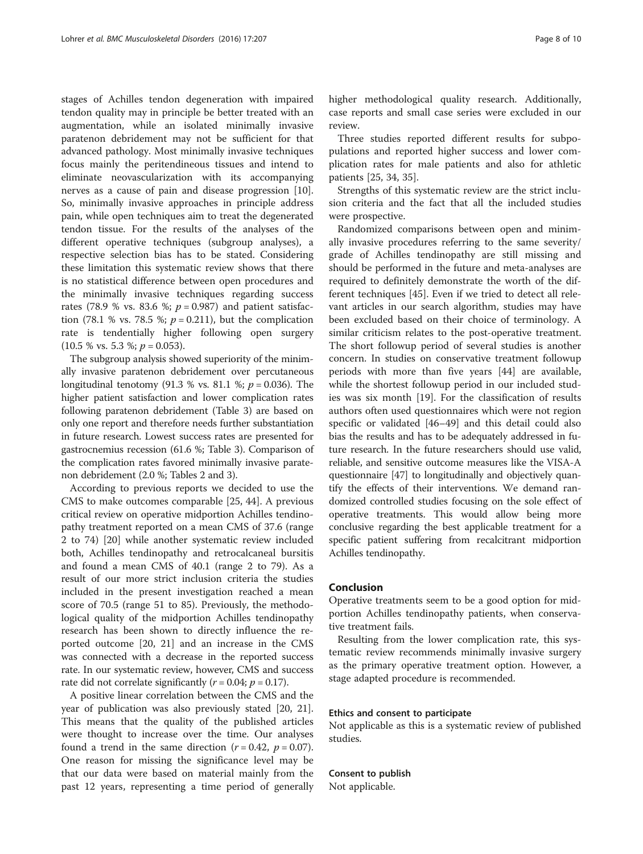stages of Achilles tendon degeneration with impaired tendon quality may in principle be better treated with an augmentation, while an isolated minimally invasive paratenon debridement may not be sufficient for that advanced pathology. Most minimally invasive techniques focus mainly the peritendineous tissues and intend to eliminate neovascularization with its accompanying nerves as a cause of pain and disease progression [\[10](#page-8-0)]. So, minimally invasive approaches in principle address pain, while open techniques aim to treat the degenerated tendon tissue. For the results of the analyses of the different operative techniques (subgroup analyses), a respective selection bias has to be stated. Considering these limitation this systematic review shows that there is no statistical difference between open procedures and the minimally invasive techniques regarding success rates (78.9 % vs. 83.6 %;  $p = 0.987$ ) and patient satisfaction (78.1 % vs. 78.5 %;  $p = 0.211$ ), but the complication rate is tendentially higher following open surgery  $(10.5 %$  vs. 5.3 %;  $p = 0.053$ ).

The subgroup analysis showed superiority of the minimally invasive paratenon debridement over percutaneous longitudinal tenotomy (91.3 % vs. 81.1 %;  $p = 0.036$ ). The higher patient satisfaction and lower complication rates following paratenon debridement (Table [3](#page-6-0)) are based on only one report and therefore needs further substantiation in future research. Lowest success rates are presented for gastrocnemius recession (61.6 %; Table [3](#page-6-0)). Comparison of the complication rates favored minimally invasive paratenon debridement (2.0 %; Tables [2](#page-5-0) and [3](#page-6-0)).

According to previous reports we decided to use the CMS to make outcomes comparable [[25,](#page-8-0) [44\]](#page-9-0). A previous critical review on operative midportion Achilles tendinopathy treatment reported on a mean CMS of 37.6 (range 2 to 74) [[20\]](#page-8-0) while another systematic review included both, Achilles tendinopathy and retrocalcaneal bursitis and found a mean CMS of 40.1 (range 2 to 79). As a result of our more strict inclusion criteria the studies included in the present investigation reached a mean score of 70.5 (range 51 to 85). Previously, the methodological quality of the midportion Achilles tendinopathy research has been shown to directly influence the reported outcome [\[20, 21\]](#page-8-0) and an increase in the CMS was connected with a decrease in the reported success rate. In our systematic review, however, CMS and success rate did not correlate significantly ( $r = 0.04$ ;  $p = 0.17$ ).

A positive linear correlation between the CMS and the year of publication was also previously stated [[20, 21](#page-8-0)]. This means that the quality of the published articles were thought to increase over the time. Our analyses found a trend in the same direction ( $r = 0.42$ ,  $p = 0.07$ ). One reason for missing the significance level may be that our data were based on material mainly from the past 12 years, representing a time period of generally higher methodological quality research. Additionally, case reports and small case series were excluded in our review.

Three studies reported different results for subpopulations and reported higher success and lower complication rates for male patients and also for athletic patients [\[25, 34, 35\]](#page-8-0).

Strengths of this systematic review are the strict inclusion criteria and the fact that all the included studies were prospective.

Randomized comparisons between open and minimally invasive procedures referring to the same severity/ grade of Achilles tendinopathy are still missing and should be performed in the future and meta-analyses are required to definitely demonstrate the worth of the different techniques [\[45\]](#page-9-0). Even if we tried to detect all relevant articles in our search algorithm, studies may have been excluded based on their choice of terminology. A similar criticism relates to the post-operative treatment. The short followup period of several studies is another concern. In studies on conservative treatment followup periods with more than five years [[44\]](#page-9-0) are available, while the shortest followup period in our included studies was six month [[19\]](#page-8-0). For the classification of results authors often used questionnaires which were not region specific or validated [\[46](#page-9-0)–[49\]](#page-9-0) and this detail could also bias the results and has to be adequately addressed in future research. In the future researchers should use valid, reliable, and sensitive outcome measures like the VISA-A questionnaire [\[47](#page-9-0)] to longitudinally and objectively quantify the effects of their interventions. We demand randomized controlled studies focusing on the sole effect of operative treatments. This would allow being more conclusive regarding the best applicable treatment for a specific patient suffering from recalcitrant midportion Achilles tendinopathy.

# Conclusion

Operative treatments seem to be a good option for midportion Achilles tendinopathy patients, when conservative treatment fails.

Resulting from the lower complication rate, this systematic review recommends minimally invasive surgery as the primary operative treatment option. However, a stage adapted procedure is recommended.

# Ethics and consent to participate

Not applicable as this is a systematic review of published studies.

Consent to publish

Not applicable.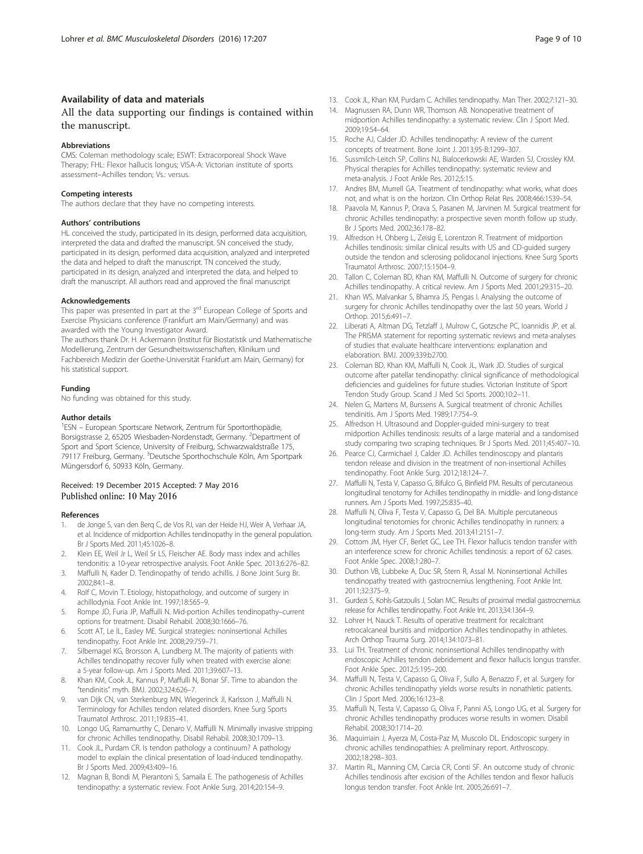# <span id="page-8-0"></span>Availability of data and materials

# All the data supporting our findings is contained within the manuscript.

#### Abbreviations

CMS: Coleman methodology scale; ESWT: Extracorporeal Shock Wave Therapy; FHL: Flexor hallucis longus; VISA-A: Victorian institute of sports assessment–Achilles tendon; Vs.: versus.

#### Competing interests

The authors declare that they have no competing interests.

#### Authors' contributions

HL conceived the study, participated in its design, performed data acquisition, interpreted the data and drafted the manuscript. SN conceived the study, participated in its design, performed data acquisition, analyzed and interpreted the data and helped to draft the manuscript. TN conceived the study, participated in its design, analyzed and interpreted the data, and helped to draft the manuscript. All authors read and approved the final manuscript

#### Acknowledgements

This paper was presented in part at the 3<sup>rd</sup> European College of Sports and Exercise Physicians conference (Frankfurt am Main/Germany) and was awarded with the Young Investigator Award.

The authors thank Dr. H. Ackermann (Institut für Biostatistik und Mathematische Modellierung, Zentrum der Gesundheitswissenschaften, Klinikum und Fachbereich Medizin der Goethe-Universität Frankfurt am Main, Germany) for his statistical support.

# Funding

No funding was obtained for this study.

#### Author details

<sup>1</sup>ESN - European Sportscare Network, Zentrum für Sportorthopädie, Borsigstrasse 2, 65205 Wiesbaden-Nordenstadt, Germany. <sup>2</sup>Department of Sport and Sport Science, University of Freiburg, Schwarzwaldstraße 175, 79117 Freiburg, Germany. <sup>3</sup>Deutsche Sporthochschule Köln, Am Sportpark Müngersdorf 6, 50933 Köln, Germany.

#### Received: 19 December 2015 Accepted: 7 May 2016 Published online: 10 May 2016

#### References

- 1. de Jonge S, van den Berq C, de Vos RJ, van der Heide HJ, Weir A, Verhaar JA, et al. Incidence of midportion Achilles tendinopathy in the general population. Br J Sports Med. 2011;45:1026–8.
- 2. Klein EE, Weil Jr L, Weil Sr LS, Fleischer AE. Body mass index and achilles tendonitis: a 10-year retrospective analysis. Foot Ankle Spec. 2013;6:276–82.
- 3. Maffulli N, Kader D. Tendinopathy of tendo achillis. J Bone Joint Surg Br. 2002;84:1–8.
- 4. Rolf C, Movin T. Etiology, histopathology, and outcome of surgery in achillodynia. Foot Ankle Int. 1997;18:565–9.
- 5. Rompe JD, Furia JP, Maffulli N. Mid-portion Achilles tendinopathy–current options for treatment. Disabil Rehabil. 2008;30:1666–76.
- 6. Scott AT, Le IL, Easley ME. Surgical strategies: noninsertional Achilles tendinopathy. Foot Ankle Int. 2008;29:759–71.
- 7. Silbernagel KG, Brorsson A, Lundberg M. The majority of patients with Achilles tendinopathy recover fully when treated with exercise alone: a 5-year follow-up. Am J Sports Med. 2011;39:607–13.
- 8. Khan KM, Cook JL, Kannus P, Maffulli N, Bonar SF. Time to abandon the "tendinitis" myth. BMJ. 2002;324:626–7.
- van Dijk CN, van Sterkenburg MN, Wiegerinck JI, Karlsson J, Maffulli N. Terminology for Achilles tendon related disorders. Knee Surg Sports Traumatol Arthrosc. 2011;19:835–41.
- 10. Longo UG, Ramamurthy C, Denaro V, Maffulli N. Minimally invasive stripping for chronic Achilles tendinopathy. Disabil Rehabil. 2008;30:1709–13.
- 11. Cook JL, Purdam CR. Is tendon pathology a continuum? A pathology model to explain the clinical presentation of load-induced tendinopathy. Br J Sports Med. 2009;43:409–16.
- 12. Magnan B, Bondi M, Pierantoni S, Samaila E. The pathogenesis of Achilles tendinopathy: a systematic review. Foot Ankle Surg. 2014;20:154–9.
- 13. Cook JL, Khan KM, Purdam C. Achilles tendinopathy. Man Ther. 2002;7:121–30.
- 14. Magnussen RA, Dunn WR, Thomson AB. Nonoperative treatment of midportion Achilles tendinopathy: a systematic review. Clin J Sport Med. 2009;19:54–64.
- 15. Roche AJ, Calder JD. Achilles tendinopathy: A review of the current concepts of treatment. Bone Joint J. 2013;95-B:1299–307.
- 16. Sussmilch-Leitch SP, Collins NJ, Bialocerkowski AE, Warden SJ, Crossley KM. Physical therapies for Achilles tendinopathy: systematic review and meta-analysis. J Foot Ankle Res. 2012;5:15.
- 17. Andres BM, Murrell GA. Treatment of tendinopathy: what works, what does not, and what is on the horizon. Clin Orthop Relat Res. 2008;466:1539–54.
- 18. Paavola M, Kannus P, Orava S, Pasanen M, Jarvinen M. Surgical treatment for chronic Achilles tendinopathy: a prospective seven month follow up study. Br J Sports Med. 2002;36:178–82.
- 19. Alfredson H, Ohberg L, Zeisig E, Lorentzon R. Treatment of midportion Achilles tendinosis: similar clinical results with US and CD-guided surgery outside the tendon and sclerosing polidocanol injections. Knee Surg Sports Traumatol Arthrosc. 2007;15:1504–9.
- 20. Tallon C, Coleman BD, Khan KM, Maffulli N. Outcome of surgery for chronic Achilles tendinopathy. A critical review. Am J Sports Med. 2001;29:315–20.
- 21. Khan WS, Malvankar S, Bhamra JS, Pengas I. Analysing the outcome of surgery for chronic Achilles tendinopathy over the last 50 years. World J Orthop. 2015;6:491–7.
- 22. Liberati A, Altman DG, Tetzlaff J, Mulrow C, Gotzsche PC, Ioannidis JP, et al. The PRISMA statement for reporting systematic reviews and meta-analyses of studies that evaluate healthcare interventions: explanation and elaboration. BMJ. 2009;339:b2700.
- 23. Coleman BD, Khan KM, Maffulli N, Cook JL, Wark JD. Studies of surgical outcome after patellar tendinopathy: clinical significance of methodological deficiencies and guidelines for future studies. Victorian Institute of Sport Tendon Study Group. Scand J Med Sci Sports. 2000;10:2–11.
- 24. Nelen G, Martens M, Burssens A. Surgical treatment of chronic Achilles tendinitis. Am J Sports Med. 1989;17:754–9.
- 25. Alfredson H. Ultrasound and Doppler-guided mini-surgery to treat midportion Achilles tendinosis: results of a large material and a randomised study comparing two scraping techniques. Br J Sports Med. 2011;45:407–10.
- 26. Pearce CJ, Carmichael J, Calder JD. Achilles tendinoscopy and plantaris tendon release and division in the treatment of non-insertional Achilles tendinopathy. Foot Ankle Surg. 2012;18:124–7.
- 27. Maffulli N, Testa V, Capasso G, Bifulco G, Binfield PM. Results of percutaneous longitudinal tenotomy for Achilles tendinopathy in middle- and long-distance runners. Am J Sports Med. 1997;25:835–40.
- 28. Maffulli N, Oliva F, Testa V, Capasso G, Del BA. Multiple percutaneous longitudinal tenotomies for chronic Achilles tendinopathy in runners: a long-term study. Am J Sports Med. 2013;41:2151–7.
- 29. Cottom JM, Hyer CF, Berlet GC, Lee TH. Flexor hallucis tendon transfer with an interference screw for chronic Achilles tendinosis: a report of 62 cases. Foot Ankle Spec. 2008;1:280–7.
- 30. Duthon VB, Lubbeke A, Duc SR, Stern R, Assal M. Noninsertional Achilles tendinopathy treated with gastrocnemius lengthening. Foot Ankle Int. 2011;32:375–9.
- 31. Gurdezi S, Kohls-Gatzoulis J, Solan MC. Results of proximal medial gastrocnemius release for Achilles tendinopathy. Foot Ankle Int. 2013;34:1364–9.
- 32. Lohrer H, Nauck T. Results of operative treatment for recalcitrant retrocalcaneal bursitis and midportion Achilles tendinopathy in athletes. Arch Orthop Trauma Surg. 2014;134:1073–81.
- 33. Lui TH. Treatment of chronic noninsertional Achilles tendinopathy with endoscopic Achilles tendon debridement and flexor hallucis longus transfer. Foot Ankle Spec. 2012;5:195–200.
- 34. Maffulli N, Testa V, Capasso G, Oliva F, Sullo A, Benazzo F, et al. Surgery for chronic Achilles tendinopathy yields worse results in nonathletic patients. Clin J Sport Med. 2006;16:123–8.
- 35. Maffulli N, Testa V, Capasso G, Oliva F, Panni AS, Longo UG, et al. Surgery for chronic Achilles tendinopathy produces worse results in women. Disabil Rehabil. 2008;30:1714–20.
- 36. Maquirriain J, Ayerza M, Costa-Paz M, Muscolo DL. Endoscopic surgery in chronic achilles tendinopathies: A preliminary report. Arthroscopy. 2002;18:298–303.
- 37. Martin RL, Manning CM, Carcia CR, Conti SF. An outcome study of chronic Achilles tendinosis after excision of the Achilles tendon and flexor hallucis longus tendon transfer. Foot Ankle Int. 2005;26:691–7.